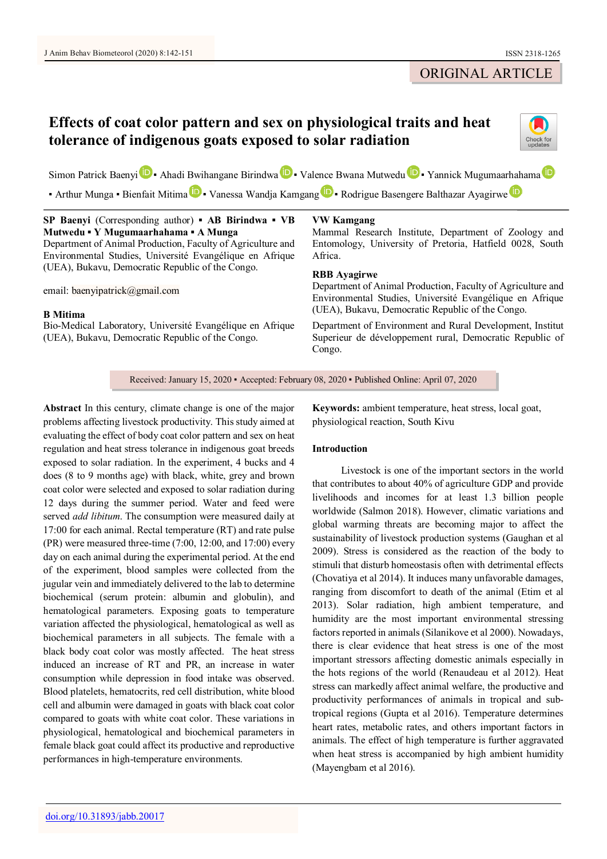## ORIGINAL ARTICLE

# **Effects of coat color pattern and sex on physiological traits and heat tolerance of indigenous goats exposed to solar radiation**



S[i](https://orcid.org/0000-0002-3831-7316)mon P[a](https://orcid.org/0000-0003-4891-5528)trick Baenyi **D** • Ahadi Bwihangane Birindwa **D** • Valence Bwana Mutwedu **D** • Yannick Mugumaarhahama **D** 

• Arthur Mung[a](https://orcid.org/0000-0002-4218-9089) • Bi[e](https://orcid.org/0000-0002-5019-0653)nfait Mitima **D** • Vanessa Wandja Kam[g](https://orcid.org/0000-0001-8837-2113)ang **D** • Rodrigue Basengere Balthazar Ayagirwe **D** 

| SP Baenyi (Corresponding author) $\bullet$ AB Birindwa $\bullet$ VB                | VW Kamgang                                                                                                                                                                                         |
|------------------------------------------------------------------------------------|----------------------------------------------------------------------------------------------------------------------------------------------------------------------------------------------------|
| Mutwedu • Y Mugumaarhahama • A Munga                                               | Mammal Research Institute, Department of Zoology and                                                                                                                                               |
| Department of Animal Production, Faculty of Agriculture and                        | Entomology, University of Pretoria, Hatfield 0028, South                                                                                                                                           |
| Environmental Studies, Université Evangélique en Afrique                           | Africa.                                                                                                                                                                                            |
| (UEA), Bukavu, Democratic Republic of the Congo.<br>email: baenyipatrick@gmail.com | <b>RBB</b> Avagirwe<br>Department of Animal Production, Faculty of Agriculture and<br>Environmental Studies, Université Evangélique en Afrique<br>(UEA), Bukavu, Democratic Republic of the Congo. |
| <b>B</b> Mitima                                                                    | Department of Environment and Rural Development, Institut                                                                                                                                          |
| Bio-Medical Laboratory, Université Evangélique en Afrique                          | Superieur de développement rural, Democratic Republic of                                                                                                                                           |
| (UEA), Bukavu, Democratic Republic of the Congo.                                   | Congo.                                                                                                                                                                                             |

Received: January 15, 2020 ▪ Accepted: February 08, 2020 ▪ Published Online: April 07, 2020

**Abstract** In this century, climate change is one of the major problems affecting livestock productivity. This study aimed at evaluating the effect of body coat color pattern and sex on heat regulation and heat stress tolerance in indigenous goat breeds exposed to solar radiation. In the experiment, 4 bucks and 4 does (8 to 9 months age) with black, white, grey and brown coat color were selected and exposed to solar radiation during 12 days during the summer period. Water and feed were served *add libitum*. The consumption were measured daily at 17:00 for each animal. Rectal temperature (RT) and rate pulse (PR) were measured three-time (7:00, 12:00, and 17:00) every day on each animal during the experimental period. At the end of the experiment, blood samples were collected from the jugular vein and immediately delivered to the lab to determine biochemical (serum protein: albumin and globulin), and hematological parameters. Exposing goats to temperature variation affected the physiological, hematological as well as biochemical parameters in all subjects. The female with a black body coat color was mostly affected. The heat stress induced an increase of RT and PR, an increase in water consumption while depression in food intake was observed. Blood platelets, hematocrits, red cell distribution, white blood cell and albumin were damaged in goats with black coat color compared to goats with white coat color. These variations in physiological, hematological and biochemical parameters in female black goat could affect its productive and reproductive performances in high-temperature environments.

**Keywords:** ambient temperature, heat stress, local goat, physiological reaction, South Kivu

## **Introduction**

Livestock is one of the important sectors in the world that contributes to about 40% of agriculture GDP and provide livelihoods and incomes for at least 1.3 billion people worldwide (Salmon 2018). However, climatic variations and global warming threats are becoming major to affect the sustainability of livestock production systems (Gaughan et al 2009). Stress is considered as the reaction of the body to stimuli that disturb homeostasis often with detrimental effects (Chovatiya et al 2014). It induces many unfavorable damages, ranging from discomfort to death of the animal (Etim et al 2013). Solar radiation, high ambient temperature, and humidity are the most important environmental stressing factors reported in animals (Silanikove et al 2000). Nowadays, there is clear evidence that heat stress is one of the most important stressors affecting domestic animals especially in the hots regions of the world (Renaudeau et al 2012). Heat stress can markedly affect animal welfare, the productive and productivity performances of animals in tropical and subtropical regions (Gupta et al 2016). Temperature determines heart rates, metabolic rates, and others important factors in animals. The effect of high temperature is further aggravated when heat stress is accompanied by high ambient humidity (Mayengbam et al 2016).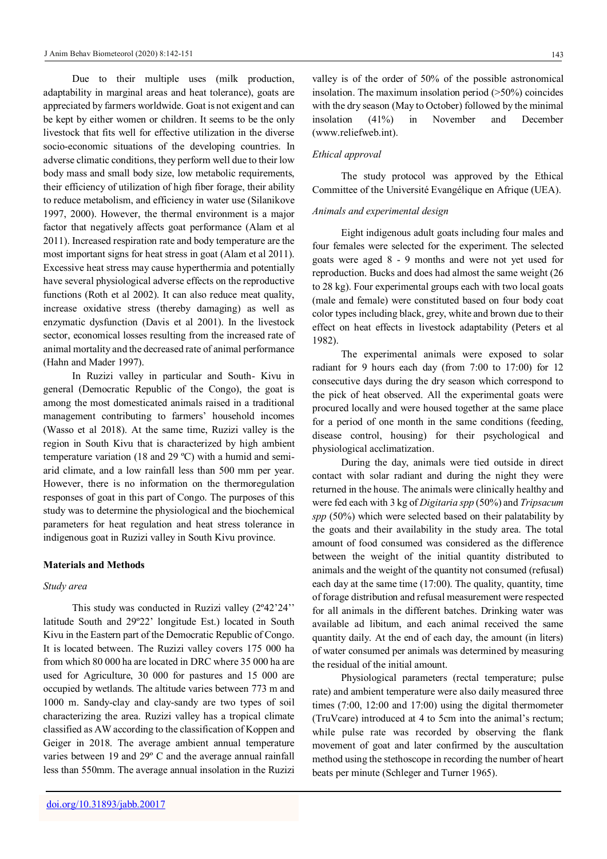Due to their multiple uses (milk production, adaptability in marginal areas and heat tolerance), goats are appreciated by farmers worldwide. Goat is not exigent and can be kept by either women or children. It seems to be the only livestock that fits well for effective utilization in the diverse socio-economic situations of the developing countries. In adverse climatic conditions, they perform well due to their low body mass and small body size, low metabolic requirements, their efficiency of utilization of high fiber forage, their ability to reduce metabolism, and efficiency in water use (Silanikove 1997, 2000). However, the thermal environment is a major factor that negatively affects goat performance (Alam et al 2011). Increased respiration rate and body temperature are the most important signs for heat stress in goat (Alam et al 2011). Excessive heat stress may cause hyperthermia and potentially have several physiological adverse effects on the reproductive functions (Roth et al 2002). It can also reduce meat quality, increase oxidative stress (thereby damaging) as well as enzymatic dysfunction (Davis et al 2001). In the livestock sector, economical losses resulting from the increased rate of animal mortality and the decreased rate of animal performance (Hahn and Mader 1997).

In Ruzizi valley in particular and South- Kivu in general (Democratic Republic of the Congo), the goat is among the most domesticated animals raised in a traditional management contributing to farmers' household incomes (Wasso et al 2018). At the same time, Ruzizi valley is the region in South Kivu that is characterized by high ambient temperature variation (18 and 29 ºC) with a humid and semiarid climate, and a low rainfall less than 500 mm per year. However, there is no information on the thermoregulation responses of goat in this part of Congo. The purposes of this study was to determine the physiological and the biochemical parameters for heat regulation and heat stress tolerance in indigenous goat in Ruzizi valley in South Kivu province.

#### **Materials and Methods**

#### *Study area*

This study was conducted in Ruzizi valley (2º42'24'' latitude South and 29º22' longitude Est.) located in South Kivu in the Eastern part of the Democratic Republic of Congo. It is located between. The Ruzizi valley covers 175 000 ha from which 80 000 ha are located in DRC where 35 000 ha are used for Agriculture, 30 000 for pastures and 15 000 are occupied by wetlands. The altitude varies between 773 m and 1000 m. Sandy-clay and clay-sandy are two types of soil characterizing the area. Ruzizi valley has a tropical climate classified as AW according to the classification of Koppen and Geiger in 2018. The average ambient annual temperature varies between 19 and 29º C and the average annual rainfall less than 550mm. The average annual insolation in the Ruzizi

valley is of the order of 50% of the possible astronomical insolation. The maximum insolation period  $($ >50%) coincides with the dry season (May to October) followed by the minimal insolation (41%) in November and December [\(www.reliefweb.int\)](http://www.reliefweb.int/).

#### *Ethical approval*

The study protocol was approved by the Ethical Committee of the Université Evangélique en Afrique (UEA).

#### *Animals and experimental design*

Eight indigenous adult goats including four males and four females were selected for the experiment. The selected goats were aged 8 - 9 months and were not yet used for reproduction. Bucks and does had almost the same weight (26 to 28 kg). Four experimental groups each with two local goats (male and female) were constituted based on four body coat color types including black, grey, white and brown due to their effect on heat effects in livestock adaptability (Peters et al 1982).

The experimental animals were exposed to solar radiant for 9 hours each day (from 7:00 to 17:00) for 12 consecutive days during the dry season which correspond to the pick of heat observed. All the experimental goats were procured locally and were housed together at the same place for a period of one month in the same conditions (feeding, disease control, housing) for their psychological and physiological acclimatization.

During the day, animals were tied outside in direct contact with solar radiant and during the night they were returned in the house. The animals were clinically healthy and were fed each with 3 kg of *Digitaria spp* (50%) and *Tripsacum spp* (50%) which were selected based on their palatability by the goats and their availability in the study area. The total amount of food consumed was considered as the difference between the weight of the initial quantity distributed to animals and the weight of the quantity not consumed (refusal) each day at the same time (17:00). The quality, quantity, time of forage distribution and refusal measurement were respected for all animals in the different batches. Drinking water was available ad libitum, and each animal received the same quantity daily. At the end of each day, the amount (in liters) of water consumed per animals was determined by measuring the residual of the initial amount.

Physiological parameters (rectal temperature; pulse rate) and ambient temperature were also daily measured three times (7:00, 12:00 and 17:00) using the digital thermometer (TruVcare) introduced at 4 to 5cm into the animal's rectum; while pulse rate was recorded by observing the flank movement of goat and later confirmed by the auscultation method using the stethoscope in recording the number of heart beats per minute (Schleger and Turner 1965).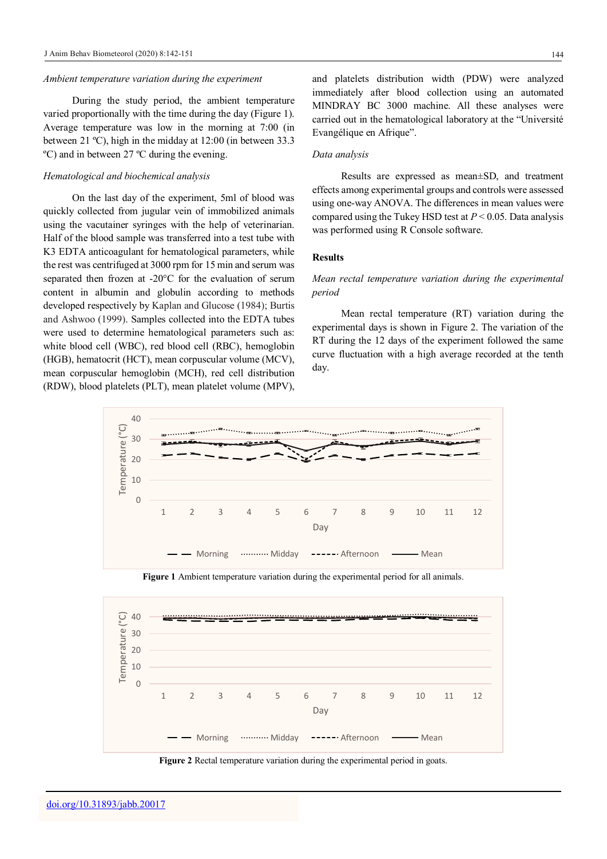#### *Ambient temperature variation during the experiment*

During the study period, the ambient temperature varied proportionally with the time during the day (Figure 1). Average temperature was low in the morning at 7:00 (in between 21 ºC), high in the midday at 12:00 (in between 33.3 ºC) and in between 27 ºC during the evening.

#### *Hematological and biochemical analysis*

On the last day of the experiment, 5ml of blood was quickly collected from jugular vein of immobilized animals using the vacutainer syringes with the help of veterinarian. Half of the blood sample was transferred into a test tube with K3 EDTA anticoagulant for hematological parameters, while the rest was centrifuged at 3000 rpm for 15 min and serum was separated then frozen at -20°C for the evaluation of serum content in albumin and globulin according to methods developed respectively by Kaplan and Glucose (1984); Burtis and Ashwoo (1999). Samples collected into the EDTA tubes were used to determine hematological parameters such as: white blood cell (WBC), red blood cell (RBC), hemoglobin (HGB), hematocrit (HCT), mean corpuscular volume (MCV), mean corpuscular hemoglobin (MCH), red cell distribution (RDW), blood platelets (PLT), mean platelet volume (MPV),

and platelets distribution width (PDW) were analyzed immediately after blood collection using an automated MINDRAY BC 3000 machine. All these analyses were carried out in the hematological laboratory at the "Université Evangélique en Afrique".

#### *Data analysis*

Results are expressed as mean±SD, and treatment effects among experimental groups and controls were assessed using one-way ANOVA. The differences in mean values were compared using the Tukey HSD test at *P* < 0.05. Data analysis was performed using R Console software.

#### **Results**

## *Mean rectal temperature variation during the experimental period*

Mean rectal temperature (RT) variation during the experimental days is shown in Figure 2. The variation of the RT during the 12 days of the experiment followed the same curve fluctuation with a high average recorded at the tenth day.





**Figure 1** Ambient temperature variation during the experimental period for all animals.

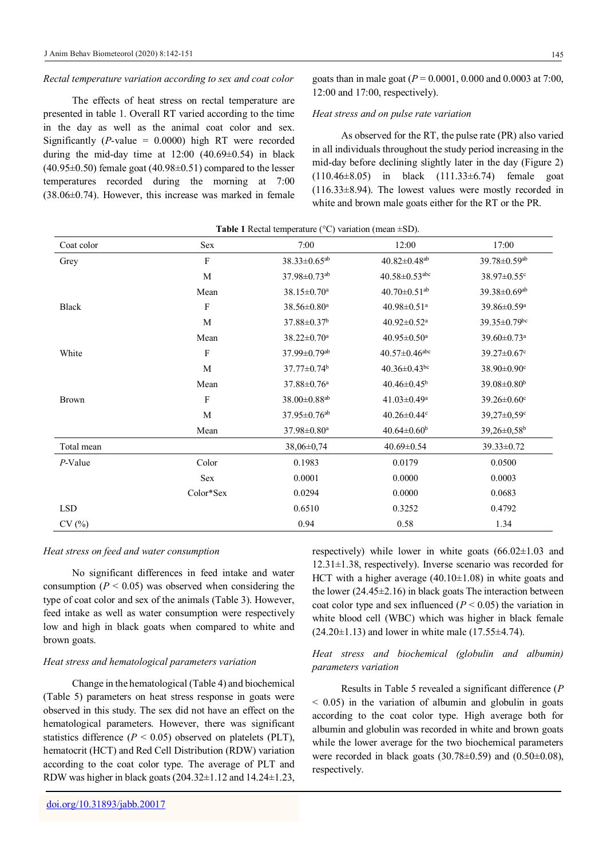#### *Rectal temperature variation according to sex and coat color*

The effects of heat stress on rectal temperature are presented in table 1. Overall RT varied according to the time in the day as well as the animal coat color and sex. Significantly ( $P$ -value = 0.0000) high RT were recorded during the mid-day time at  $12:00$  (40.69 $\pm$ 0.54) in black  $(40.95\pm0.50)$  female goat  $(40.98\pm0.51)$  compared to the lesser temperatures recorded during the morning at 7:00 (38.06±0.74). However, this increase was marked in female goats than in male goat (*P* = 0.0001, 0.000 and 0.0003 at 7:00, 12:00 and 17:00, respectively).

#### *Heat stress and on pulse rate variation*

As observed for the RT, the pulse rate (PR) also varied in all individuals throughout the study period increasing in the mid-day before declining slightly later in the day (Figure 2) (110.46±8.05) in black (111.33±6.74) female goat (116.33±8.94). The lowest values were mostly recorded in white and brown male goats either for the RT or the PR.

| Coat color   | Sex                       | 7:00                           | 12:00                           | 17:00                          |
|--------------|---------------------------|--------------------------------|---------------------------------|--------------------------------|
| Grey         | $\rm F$                   | $38.33 \pm 0.65$ <sup>ab</sup> | $40.82 \pm 0.48$ <sup>ab</sup>  | 39.78±0.59ab                   |
|              | M                         | 37.98±0.73 <sup>ab</sup>       | $40.58 \pm 0.53$ <sup>abc</sup> | 38.97±0.55c                    |
|              | Mean                      | 38.15±0.70 <sup>a</sup>        | 40.70 $\pm$ 0.51 <sup>ab</sup>  | $39.38 \pm 0.69$ <sup>ab</sup> |
| <b>Black</b> | $\boldsymbol{\mathrm{F}}$ | 38.56±0.80 <sup>a</sup>        | 40.98 $\pm$ 0.51 <sup>a</sup>   | 39.86±0.59 <sup>a</sup>        |
|              | M                         | 37.88±0.37 <sup>b</sup>        | 40.92 $\pm$ 0.52 <sup>a</sup>   | 39.35±0.79bc                   |
|              | Mean                      | 38.22±0.70 <sup>a</sup>        | $40.95 \pm 0.50$ <sup>a</sup>   | 39.60±0.73 <sup>a</sup>        |
| White        | $\boldsymbol{\mathrm{F}}$ | 37.99±0.79 <sup>ab</sup>       | $40.57 \pm 0.46$ abc            | $39.27 \pm 0.67$ °             |
|              | M                         | $37.77 \pm 0.74$ <sup>b</sup>  | $40.36 \pm 0.43$ bc             | 38.90±0.90°                    |
|              | Mean                      | 37.88±0.76 <sup>a</sup>        | $40.46 \pm 0.45^b$              | $39.08 \pm 0.80$ <sup>b</sup>  |
| <b>Brown</b> | $\mathbf F$               | $38.00 \pm 0.88$ <sup>ab</sup> | 41.03 $\pm$ 0.49 <sup>a</sup>   | $39.26 \pm 0.60$ c             |
|              | M                         | $37.95 \pm 0.76$ <sup>ab</sup> | $40.26 \pm 0.44$ c              | $39,27 \pm 0,59$ °             |
|              | Mean                      | 37.98±0.80 <sup>a</sup>        | $40.64 \pm 0.60^b$              | 39,26±0,58 <sup>b</sup>        |
| Total mean   |                           | $38,06 \pm 0.74$               | $40.69 \pm 0.54$                | $39.33 \pm 0.72$               |
| $P$ -Value   | Color                     | 0.1983                         | 0.0179                          | 0.0500                         |
|              | Sex                       | 0.0001                         | 0.0000                          | 0.0003                         |
|              | Color*Sex                 | 0.0294                         | 0.0000                          | 0.0683                         |
| <b>LSD</b>   |                           | 0.6510                         | 0.3252                          | 0.4792                         |
| CV(%)        |                           | 0.94                           | 0.58                            | 1.34                           |

## **Table 1** Rectal temperature  $(^{\circ}C)$  variation (mean  $\pm SD$ ).

#### *Heat stress on feed and water consumption*

No significant differences in feed intake and water consumption  $(P < 0.05)$  was observed when considering the type of coat color and sex of the animals (Table 3). However, feed intake as well as water consumption were respectively low and high in black goats when compared to white and brown goats.

#### *Heat stress and hematological parameters variation*

Change in the hematological (Table 4) and biochemical (Table 5) parameters on heat stress response in goats were observed in this study. The sex did not have an effect on the hematological parameters. However, there was significant statistics difference ( $P < 0.05$ ) observed on platelets (PLT), hematocrit (HCT) and Red Cell Distribution (RDW) variation according to the coat color type. The average of PLT and RDW was higher in black goats (204.32±1.12 and 14.24±1.23,

[doi.org/10.31893/jabb.20017](https://doi.org/10.31893/jabb.20017)

respectively) while lower in white goats  $(66.02 \pm 1.03$  and 12.31±1.38, respectively). Inverse scenario was recorded for HCT with a higher average  $(40.10\pm1.08)$  in white goats and the lower (24.45±2.16) in black goats The interaction between coat color type and sex influenced  $(P < 0.05)$  the variation in white blood cell (WBC) which was higher in black female  $(24.20\pm1.13)$  and lower in white male  $(17.55\pm4.74)$ .

## *Heat stress and biochemical (globulin and albumin) parameters variation*

Results in Table 5 revealed a significant difference (*P*  $<$  0.05) in the variation of albumin and globulin in goats according to the coat color type. High average both for albumin and globulin was recorded in white and brown goats while the lower average for the two biochemical parameters were recorded in black goats (30.78 $\pm$ 0.59) and (0.50 $\pm$ 0.08), respectively.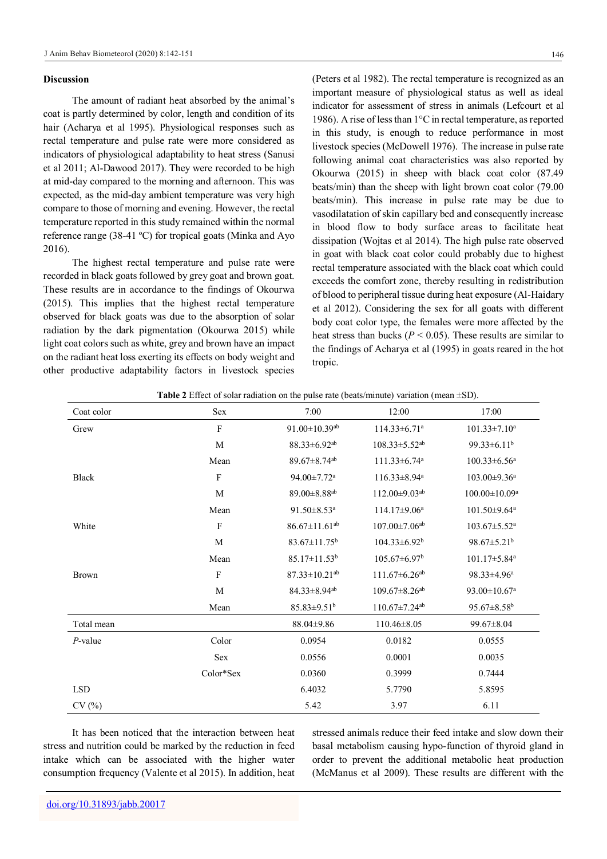### **Discussion**

The amount of radiant heat absorbed by the animal's coat is partly determined by color, length and condition of its hair (Acharya et al 1995). Physiological responses such as rectal temperature and pulse rate were more considered as indicators of physiological adaptability to heat stress (Sanusi et al 2011; Al-Dawood 2017). They were recorded to be high at mid-day compared to the morning and afternoon. This was expected, as the mid-day ambient temperature was very high compare to those of morning and evening. However, the rectal temperature reported in this study remained within the normal reference range (38-41 ºC) for tropical goats (Minka and Ayo 2016).

The highest rectal temperature and pulse rate were recorded in black goats followed by grey goat and brown goat. These results are in accordance to the findings of Okourwa (2015). This implies that the highest rectal temperature observed for black goats was due to the absorption of solar radiation by the dark pigmentation (Okourwa 2015) while light coat colors such as white, grey and brown have an impact on the radiant heat loss exerting its effects on body weight and other productive adaptability factors in livestock species

(Peters et al 1982). The rectal temperature is recognized as an important measure of physiological status as well as ideal indicator for assessment of stress in animals (Lefcourt et al 1986). A rise of less than 1°C in rectal temperature, as reported in this study, is enough to reduce performance in most livestock species (McDowell 1976). The increase in pulse rate following animal coat characteristics was also reported by Okourwa (2015) in sheep with black coat color (87.49 beats/min) than the sheep with light brown coat color (79.00 beats/min). This increase in pulse rate may be due to vasodilatation of skin capillary bed and consequently increase in blood flow to body surface areas to facilitate heat dissipation (Wojtas et al 2014). The high pulse rate observed in goat with black coat color could probably due to highest rectal temperature associated with the black coat which could exceeds the comfort zone, thereby resulting in redistribution of blood to peripheral tissue during heat exposure (Al-Haidary et al 2012). Considering the sex for all goats with different body coat color type, the females were more affected by the heat stress than bucks ( $P < 0.05$ ). These results are similar to the findings of Acharya et al (1995) in goats reared in the hot tropic.

|              | <b>EXECUTE:</b> Execut of solar radiation on the pulse rate (beats/minute) variation (mean $\pm$ 3D). |                                 |                                 |                                |
|--------------|-------------------------------------------------------------------------------------------------------|---------------------------------|---------------------------------|--------------------------------|
| Coat color   | Sex                                                                                                   | 7:00                            | 12:00                           | 17:00                          |
| Grew         | $\rm F$                                                                                               | $91.00 \pm 10.39^{ab}$          | $114.33 \pm 6.71$ <sup>a</sup>  | $101.33 \pm 7.10^a$            |
|              | M                                                                                                     | 88.33±6.92 <sup>ab</sup>        | $108.33 \pm 5.52$ <sup>ab</sup> | 99.33±6.11 <sup>b</sup>        |
|              | Mean                                                                                                  | $89.67 \pm 8.74$ <sup>ab</sup>  | 111.33±6.74 <sup>a</sup>        | $100.33 \pm 6.56^a$            |
| <b>Black</b> | $\boldsymbol{\mathrm{F}}$                                                                             | 94.00±7.72 <sup>a</sup>         | 116.33±8.94 <sup>a</sup>        | 103.00±9.36 <sup>a</sup>       |
|              | $\mathbf M$                                                                                           | 89.00±8.88 <sup>ab</sup>        | 112.00±9.03ab                   | $100.00 \pm 10.09^a$           |
|              | Mean                                                                                                  | $91.50 \pm 8.53$ <sup>a</sup>   | $114.17 \pm 9.06^a$             | $101.50 \pm 9.64$ <sup>a</sup> |
| White        | $\rm F$                                                                                               | $86.67 \pm 11.61$ <sup>ab</sup> | $107.00 \pm 7.06$ <sup>ab</sup> | $103.67 \pm 5.52$ <sup>a</sup> |
|              | M                                                                                                     | $83.67 \pm 11.75^b$             | $104.33 \pm 6.92^b$             | $98.67 \pm 5.21^b$             |
|              | Mean                                                                                                  | $85.17 \pm 11.53$ <sup>b</sup>  | $105.67 \pm 6.97$ <sup>b</sup>  | $101.17 \pm 5.84$ <sup>a</sup> |
| <b>Brown</b> | $\rm F$                                                                                               | $87.33 \pm 10.21$ <sup>ab</sup> | $111.67 \pm 6.26$ <sup>ab</sup> | $98.33 \pm 4.96^a$             |
|              | M                                                                                                     | 84.33±8.94 <sup>ab</sup>        | $109.67 \pm 8.26$ <sup>ab</sup> | $93.00 \pm 10.67$ <sup>a</sup> |
|              | Mean                                                                                                  | $85.83 \pm 9.51^b$              | $110.67 \pm 7.24$ <sup>ab</sup> | $95.67 \pm 8.58$ <sup>b</sup>  |
| Total mean   |                                                                                                       | $88.04 \pm 9.86$                | $110.46 \pm 8.05$               | $99.67 \pm 8.04$               |
| $P$ -value   | Color                                                                                                 | 0.0954                          | 0.0182                          | 0.0555                         |
|              | Sex                                                                                                   | 0.0556                          | 0.0001                          | 0.0035                         |
|              | Color*Sex                                                                                             | 0.0360                          | 0.3999                          | 0.7444                         |
| <b>LSD</b>   |                                                                                                       | 6.4032                          | 5.7790                          | 5.8595                         |
| CV(%)        |                                                                                                       | 5.42                            | 3.97                            | 6.11                           |

| <b>Table 2</b> Effect of solar radiation on the pulse rate (beats/minute) variation (mean $\pm$ SD). |  |  |
|------------------------------------------------------------------------------------------------------|--|--|
|------------------------------------------------------------------------------------------------------|--|--|

It has been noticed that the interaction between heat stress and nutrition could be marked by the reduction in feed intake which can be associated with the higher water consumption frequency (Valente et al 2015). In addition, heat

stressed animals reduce their feed intake and slow down their basal metabolism causing hypo-function of thyroid gland in order to prevent the additional metabolic heat production (McManus et al 2009). These results are different with the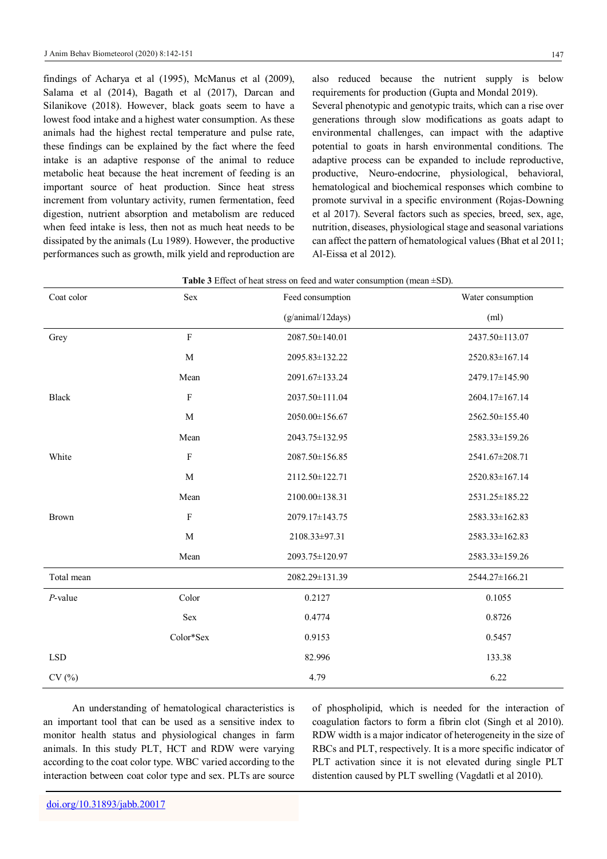147

findings of Acharya et al (1995), McManus et al (2009), Salama et al (2014), Bagath et al (2017), Darcan and Silanikove (2018). However, black goats seem to have a lowest food intake and a highest water consumption. As these animals had the highest rectal temperature and pulse rate, these findings can be explained by the fact where the feed intake is an adaptive response of the animal to reduce metabolic heat because the heat increment of feeding is an important source of heat production. Since heat stress increment from voluntary activity, rumen fermentation, feed digestion, nutrient absorption and metabolism are reduced when feed intake is less, then not as much heat needs to be dissipated by the animals (Lu 1989). However, the productive performances such as growth, milk yield and reproduction are

also reduced because the nutrient supply is below requirements for production (Gupta and Mondal 2019).

Several phenotypic and genotypic traits, which can a rise over generations through slow modifications as goats adapt to environmental challenges, can impact with the adaptive potential to goats in harsh environmental conditions. The adaptive process can be expanded to include reproductive, productive, Neuro-endocrine, physiological, behavioral, hematological and biochemical responses which combine to promote survival in a specific environment (Rojas-Downing et al 2017). Several factors such as species, breed, sex, age, nutrition, diseases, physiological stage and seasonal variations can affect the pattern of hematological values (Bhat et al 2011; Al-Eissa et al 2012).

| Table 3 Effect of heat stress on feed and water consumption (mean $\pm$ SD). |  |  |  |
|------------------------------------------------------------------------------|--|--|--|
|------------------------------------------------------------------------------|--|--|--|

| Coat color   | Sex         | Feed consumption  | Water consumption |  |
|--------------|-------------|-------------------|-------------------|--|
|              |             | (g/animal/12days) | (ml)              |  |
| Grey         | $\mathbf F$ | 2087.50±140.01    | 2437.50±113.07    |  |
|              | M           | 2095.83±132.22    | 2520.83±167.14    |  |
|              | Mean        | 2091.67±133.24    | 2479.17±145.90    |  |
| <b>Black</b> | $\rm F$     | 2037.50±111.04    | 2604.17±167.14    |  |
|              | M           | 2050.00±156.67    | 2562.50±155.40    |  |
|              | Mean        | 2043.75±132.95    | 2583.33±159.26    |  |
| White        | $\rm F$     | 2087.50±156.85    | 2541.67±208.71    |  |
|              | M           | 2112.50±122.71    | 2520.83±167.14    |  |
|              | Mean        | 2100.00±138.31    | 2531.25±185.22    |  |
| <b>Brown</b> | $\rm F$     | 2079.17±143.75    | 2583.33±162.83    |  |
|              | M           | 2108.33±97.31     | 2583.33±162.83    |  |
|              | Mean        | 2093.75±120.97    | 2583.33±159.26    |  |
| Total mean   |             | 2082.29±131.39    | 2544.27±166.21    |  |
| $P$ -value   | Color       | 0.2127            | 0.1055            |  |
|              | Sex         | 0.4774            | 0.8726            |  |
|              | Color*Sex   | 0.9153            | 0.5457            |  |
| <b>LSD</b>   |             | 82.996            | 133.38            |  |
| CV(%)        |             | 4.79              | 6.22              |  |

An understanding of hematological characteristics is an important tool that can be used as a sensitive index to monitor health status and physiological changes in farm animals. In this study PLT, HCT and RDW were varying according to the coat color type. WBC varied according to the interaction between coat color type and sex. PLTs are source

of phospholipid, which is needed for the interaction of coagulation factors to form a fibrin clot (Singh et al 2010). RDW width is a major indicator of heterogeneity in the size of RBCs and PLT, respectively. It is a more specific indicator of PLT activation since it is not elevated during single PLT distention caused by PLT swelling (Vagdatli et al 2010).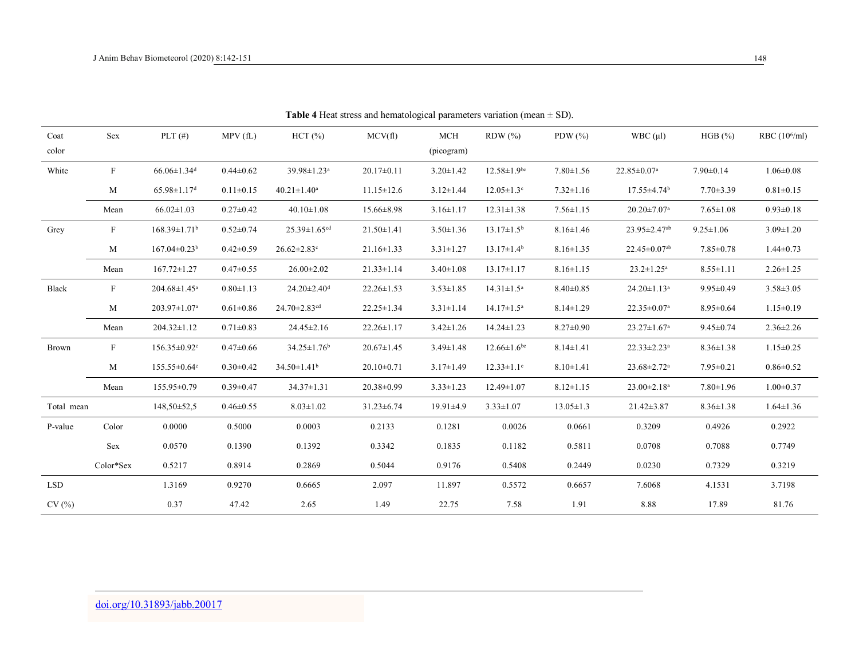| Coat<br>color | Sex                       | PLT $(\#)$                     | MPV(fL)         | HCT(%)                         | MCV(f)           | MCH<br>(picogram) | $RDW$ $(\% )$                 | PDW $(\% )$     | WBC (µl)                       | HGB (%)         | RBC $(10^6$ /ml) |
|---------------|---------------------------|--------------------------------|-----------------|--------------------------------|------------------|-------------------|-------------------------------|-----------------|--------------------------------|-----------------|------------------|
| White         | F                         | $66.06 \pm 1.34$ <sup>d</sup>  | $0.44 \pm 0.62$ | 39.98±1.23 <sup>a</sup>        | $20.17 \pm 0.11$ | $3.20 \pm 1.42$   | $12.58 \pm 1.9$ <sup>bc</sup> | $7.80 \pm 1.56$ | $22.85 \pm 0.07$ <sup>a</sup>  | $7.90 \pm 0.14$ | $1.06 \pm 0.08$  |
|               | M                         | $65.98 \pm 1.17$ <sup>d</sup>  | $0.11 \pm 0.15$ | $40.21 \pm 1.40^a$             | $11.15 \pm 12.6$ | $3.12 \pm 1.44$   | $12.05 \pm 1.3$ <sup>c</sup>  | $7.32 \pm 1.16$ | $17.55 \pm 4.74$ <sup>b</sup>  | $7.70 \pm 3.39$ | $0.81 \pm 0.15$  |
|               | Mean                      | $66.02 \pm 1.03$               | $0.27 \pm 0.42$ | $40.10 \pm 1.08$               | $15.66 \pm 8.98$ | $3.16 \pm 1.17$   | $12.31 \pm 1.38$              | $7.56 \pm 1.15$ | $20.20 \pm 7.07$ <sup>a</sup>  | $7.65 \pm 1.08$ | $0.93 \pm 0.18$  |
| Grey          | $\boldsymbol{\mathrm{F}}$ | $168.39 \pm 1.71$ <sup>b</sup> | $0.52 \pm 0.74$ | $25.39 \pm 1.65$ <sup>cd</sup> | $21.50 \pm 1.41$ | $3.50 \pm 1.36$   | $13.17 \pm 1.5^{\rm b}$       | $8.16 \pm 1.46$ | 23.95±2.47ab                   | $9.25 \pm 1.06$ | $3.09 \pm 1.20$  |
|               | M                         | $167.04 \pm 0.23$ <sup>b</sup> | $0.42 \pm 0.59$ | $26.62 \pm 2.83$ °             | $21.16 \pm 1.33$ | $3.31 \pm 1.27$   | $13.17 \pm 1.4^{\circ}$       | $8.16 \pm 1.35$ | $22.45 \pm 0.07$ <sup>ab</sup> | $7.85 \pm 0.78$ | $1.44 \pm 0.73$  |
|               | Mean                      | $167.72 \pm 1.27$              | $0.47 \pm 0.55$ | $26.00 \pm 2.02$               | $21.33 \pm 1.14$ | $3.40 \pm 1.08$   | $13.17 \pm 1.17$              | $8.16 \pm 1.15$ | $23.2 \pm 1.25^a$              | $8.55 \pm 1.11$ | $2.26 \pm 1.25$  |
| <b>Black</b>  | $\mathbf{F}$              | 204.68±1.45 <sup>a</sup>       | $0.80 \pm 1.13$ | $24.20 \pm 2.40$ <sup>d</sup>  | $22.26 \pm 1.53$ | $3.53 \pm 1.85$   | $14.31 \pm 1.5^a$             | $8.40 \pm 0.85$ | $24.20 \pm 1.13$ <sup>a</sup>  | $9.95 \pm 0.49$ | $3.58 \pm 3.05$  |
|               | M                         | 203.97±1.07ª                   | $0.61 \pm 0.86$ | $24.70 \pm 2.83$ <sup>cd</sup> | $22.25 \pm 1.34$ | $3.31 \pm 1.14$   | $14.17 \pm 1.5^a$             | $8.14 \pm 1.29$ | $22.35 \pm 0.07$ <sup>a</sup>  | $8.95 \pm 0.64$ | $1.15 \pm 0.19$  |
|               | Mean                      | $204.32 \pm 1.12$              | $0.71 \pm 0.83$ | $24.45 \pm 2.16$               | $22.26 \pm 1.17$ | $3.42 \pm 1.26$   | $14.24 \pm 1.23$              | $8.27 \pm 0.90$ | $23.27 \pm 1.67$ <sup>a</sup>  | $9.45 \pm 0.74$ | $2.36 \pm 2.26$  |
| Brown         | $\mathbf{F}$              | $156.35 \pm 0.92$ <sup>c</sup> | $0.47 \pm 0.66$ | $34.25 \pm 1.76$ <sup>b</sup>  | $20.67 \pm 1.45$ | $3.49 \pm 1.48$   | $12.66 \pm 1.6$ <sup>bc</sup> | $8.14 \pm 1.41$ | $22.33 \pm 2.23$ <sup>a</sup>  | $8.36 \pm 1.38$ | $1.15 \pm 0.25$  |
|               | M                         | $155.55 \pm 0.64$ c            | $0.30 \pm 0.42$ | $34.50 \pm 1.41$ <sup>b</sup>  | $20.10 \pm 0.71$ | $3.17 \pm 1.49$   | $12.33 \pm 1.1$ <sup>c</sup>  | $8.10 \pm 1.41$ | 23.68±2.72 <sup>a</sup>        | $7.95 \pm 0.21$ | $0.86 \pm 0.52$  |
|               | Mean                      | 155.95±0.79                    | $0.39 \pm 0.47$ | $34.37 \pm 1.31$               | 20.38±0.99       | $3.33 \pm 1.23$   | 12.49±1.07                    | $8.12 \pm 1.15$ | $23.00 \pm 2.18$ <sup>a</sup>  | $7.80 \pm 1.96$ | $1.00 \pm 0.37$  |
| Total mean    |                           | $148,50 \pm 52,5$              | $0.46 \pm 0.55$ | $8.03 \pm 1.02$                | $31.23 \pm 6.74$ | $19.91 \pm 4.9$   | $3.33 \pm 1.07$               | $13.05 \pm 1.3$ | $21.42 \pm 3.87$               | $8.36 \pm 1.38$ | $1.64 \pm 1.36$  |
| P-value       | Color                     | 0.0000                         | 0.5000          | 0.0003                         | 0.2133           | 0.1281            | 0.0026                        | 0.0661          | 0.3209                         | 0.4926          | 0.2922           |
|               | Sex                       | 0.0570                         | 0.1390          | 0.1392                         | 0.3342           | 0.1835            | 0.1182                        | 0.5811          | 0.0708                         | 0.7088          | 0.7749           |
|               | Color*Sex                 | 0.5217                         | 0.8914          | 0.2869                         | 0.5044           | 0.9176            | 0.5408                        | 0.2449          | 0.0230                         | 0.7329          | 0.3219           |
| LSD           |                           | 1.3169                         | 0.9270          | 0.6665                         | 2.097            | 11.897            | 0.5572                        | 0.6657          | 7.6068                         | 4.1531          | 3.7198           |
| CV(%)         |                           | 0.37                           | 47.42           | 2.65                           | 1.49             | 22.75             | 7.58                          | 1.91            | 8.88                           | 17.89           | 81.76            |

**Table 4** Heat stress and hematological parameters variation (mean  $\pm$  SD).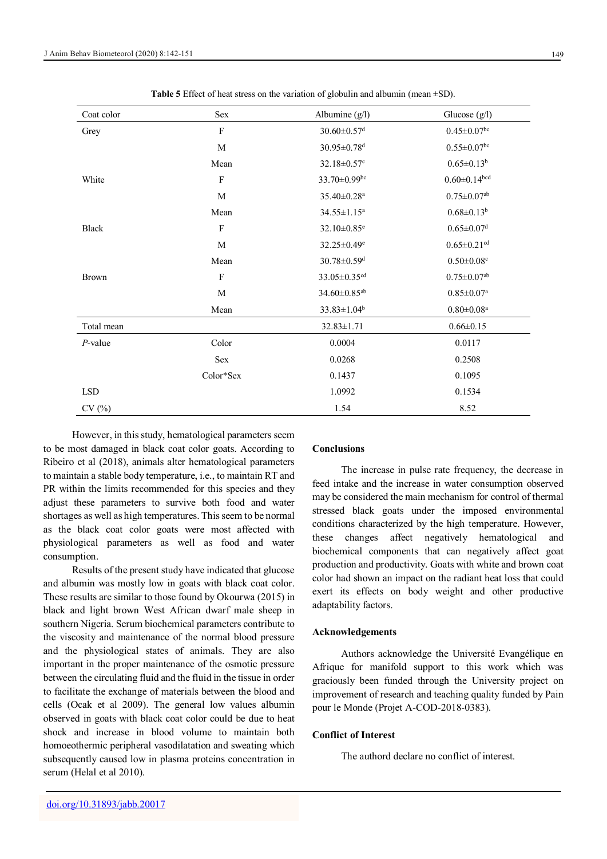| Coat color   | Sex                       | Albumine $(g/l)$              | Glucose $(g/l)$               |
|--------------|---------------------------|-------------------------------|-------------------------------|
| Grey         | $\boldsymbol{\mathrm{F}}$ | $30.60 \pm 0.57$ <sup>d</sup> | $0.45 \pm 0.07$ <sup>bc</sup> |
|              | $\mathbf M$               | $30.95 \pm 0.78$ <sup>d</sup> | $0.55 \pm 0.07$ bc            |
|              | Mean                      | 32.18±0.57°                   | $0.65 \pm 0.13^b$             |
| White        | $\boldsymbol{\mathrm{F}}$ | 33.70±0.99bc                  | $0.60 \pm 0.14$ bcd           |
|              | $\mathbf M$               | 35.40±0.28 <sup>a</sup>       | $0.75 \pm 0.07$ <sup>ab</sup> |
|              | Mean                      | $34.55 \pm 1.15^a$            | $0.68 \pm 0.13^b$             |
| <b>Black</b> | $\boldsymbol{\mathrm{F}}$ | 32.10±0.85 <sup>e</sup>       | $0.65 \pm 0.07$ <sup>d</sup>  |
|              | M                         | $32.25 \pm 0.49$ <sup>e</sup> | $0.65 \pm 0.21$ <sup>cd</sup> |
|              | Mean                      | $30.78 \pm 0.59$ <sup>d</sup> | $0.50 \pm 0.08$ c             |
| <b>Brown</b> | $\boldsymbol{\mathrm{F}}$ | 33.05±0.35 <sup>cd</sup>      | $0.75 \pm 0.07^{\text{ab}}$   |
|              | $\mathbf M$               | 34.60±0.85 <sup>ab</sup>      | $0.85 \pm 0.07$ <sup>a</sup>  |
|              | Mean                      | $33.83 \pm 1.04^b$            | $0.80\pm0.08^{\mathrm{a}}$    |
| Total mean   |                           | $32.83 \pm 1.71$              | $0.66 \pm 0.15$               |
| $P$ -value   | Color                     | 0.0004                        | 0.0117                        |
|              | Sex                       | 0.0268                        | 0.2508                        |
|              | Color*Sex                 | 0.1437                        | 0.1095                        |
| <b>LSD</b>   |                           | 1.0992                        | 0.1534                        |
| CV(%)        |                           | 1.54                          | 8.52                          |

**Table 5** Effect of heat stress on the variation of globulin and albumin (mean  $\pm$ SD).

However, in this study, hematological parameters seem to be most damaged in black coat color goats. According to Ribeiro et al (2018), animals alter hematological parameters to maintain a stable body temperature, i.e., to maintain RT and PR within the limits recommended for this species and they adjust these parameters to survive both food and water shortages as well as high temperatures. This seem to be normal as the black coat color goats were most affected with physiological parameters as well as food and water consumption.

Results of the present study have indicated that glucose and albumin was mostly low in goats with black coat color. These results are similar to those found by Okourwa (2015) in black and light brown West African dwarf male sheep in southern Nigeria. Serum biochemical parameters contribute to the viscosity and maintenance of the normal blood pressure and the physiological states of animals. They are also important in the proper maintenance of the osmotic pressure between the circulating fluid and the fluid in the tissue in order to facilitate the exchange of materials between the blood and cells (Ocak et al 2009). The general low values albumin observed in goats with black coat color could be due to heat shock and increase in blood volume to maintain both homoeothermic peripheral vasodilatation and sweating which subsequently caused low in plasma proteins concentration in serum (Helal et al 2010).

## **Conclusions**

The increase in pulse rate frequency, the decrease in feed intake and the increase in water consumption observed may be considered the main mechanism for control of thermal stressed black goats under the imposed environmental conditions characterized by the high temperature. However, these changes affect negatively hematological and biochemical components that can negatively affect goat production and productivity. Goats with white and brown coat color had shown an impact on the radiant heat loss that could exert its effects on body weight and other productive adaptability factors.

## **Acknowledgements**

Authors acknowledge the Université Evangélique en Afrique for manifold support to this work which was graciously been funded through the University project on improvement of research and teaching quality funded by Pain pour le Monde (Projet A-COD-2018-0383).

## **Conflict of Interest**

The authord declare no conflict of interest.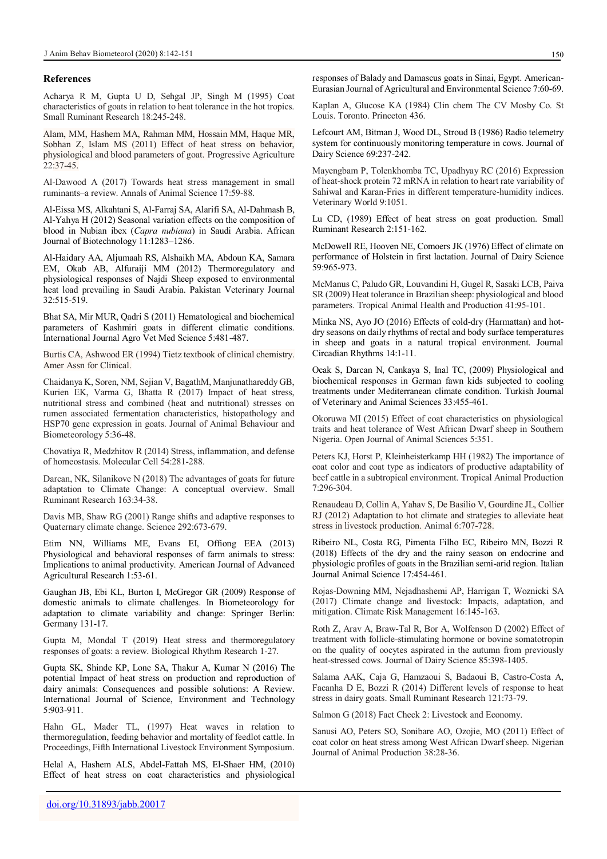#### **References**

Acharya R M, Gupta U D, Sehgal JP, Singh M (1995) Coat characteristics of goats in relation to heat tolerance in the hot tropics. Small Ruminant Research 18:245-248.

Alam, MM, Hashem MA, Rahman MM, Hossain MM, Haque MR, Sobhan Z, Islam MS (2011) Effect of heat stress on behavior, physiological and blood parameters of goat. Progressive Agriculture 22:37-45.

Al-Dawood A (2017) Towards heat stress management in small ruminants–a review. Annals of Animal Science 17:59-88.

Al-Eissa MS, Alkahtani S, Al-Farraj SA, Alarifi SA, Al-Dahmash B, Al-Yahya H (2012) Seasonal variation effects on the composition of blood in Nubian ibex (*Capra nubiana*) in Saudi Arabia. African Journal of Biotechnology 11:1283-1286.

Al-Haidary AA, Aljumaah RS, Alshaikh MA, Abdoun KA, Samara EM, Okab AB, Alfuraiji MM (2012) Thermoregulatory and physiological responses of Najdi Sheep exposed to environmental heat load prevailing in Saudi Arabia. Pakistan Veterinary Journal 32:515-519.

Bhat SA, Mir MUR, Qadri S (2011) Hematological and biochemical parameters of Kashmiri goats in different climatic conditions. International Journal Agro Vet Med Science 5:481-487.

Burtis CA, Ashwood ER (1994) Tietz textbook of clinical chemistry. Amer Assn for Clinical.

Chaidanya K, Soren, NM, Sejian V, BagathM, Manjunathareddy GB, Kurien EK, Varma G, Bhatta R (2017) Impact of heat stress, nutritional stress and combined (heat and nutritional) stresses on rumen associated fermentation characteristics, histopathology and HSP70 gene expression in goats. Journal of Animal Behaviour and Biometeorology 5:36-48.

Chovatiya R, Medzhitov R (2014) Stress, inflammation, and defense of homeostasis. Molecular Cell 54:281-288.

Darcan, NK, Silanikove N (2018) The advantages of goats for future adaptation to Climate Change: A conceptual overview. Small Ruminant Research 163:34-38.

Davis MB, Shaw RG (2001) Range shifts and adaptive responses to Quaternary climate change. Science 292:673-679.

Etim NN, Williams ME, Evans EI, Offiong EEA (2013) Physiological and behavioral responses of farm animals to stress: Implications to animal productivity. American Journal of Advanced Agricultural Research 1:53-61.

Gaughan JB, Ebi KL, Burton I, McGregor GR (2009) Response of domestic animals to climate challenges. In Biometeorology for adaptation to climate variability and change: Springer Berlin: Germany 131-17.

Gupta M, Mondal T (2019) Heat stress and thermoregulatory responses of goats: a review. Biological Rhythm Research 1-27.

Gupta SK, Shinde KP, Lone SA, Thakur A, Kumar N (2016) The potential Impact of heat stress on production and reproduction of dairy animals: Consequences and possible solutions: A Review. International Journal of Science, Environment and Technology 5:903-911.

Hahn GL, Mader TL, (1997) Heat waves in relation to thermoregulation, feeding behavior and mortality of feedlot cattle. In Proceedings, Fifth International Livestock Environment Symposium.

Helal A, Hashem ALS, Abdel-Fattah MS, El-Shaer HM, (2010) Effect of heat stress on coat characteristics and physiological responses of Balady and Damascus goats in Sinai, Egypt. American-Eurasian Journal of Agricultural and Environmental Science 7:60-69.

Kaplan A, Glucose KA (1984) Clin chem The CV Mosby Co. St Louis. Toronto. Princeton 436.

Lefcourt AM, Bitman J, Wood DL, Stroud B (1986) Radio telemetry system for continuously monitoring temperature in cows. Journal of Dairy Science 69:237-242.

Mayengbam P, Tolenkhomba TC, Upadhyay RC (2016) Expression of heat-shock protein 72 mRNA in relation to heart rate variability of Sahiwal and Karan-Fries in different temperature-humidity indices. Veterinary World 9:1051.

Lu CD, (1989) Effect of heat stress on goat production. Small Ruminant Research 2:151-162.

McDowell RE, Hooven NE, Comoers JK (1976) Effect of climate on performance of Holstein in first lactation. Journal of Dairy Science 59:965-973.

McManus C, Paludo GR, Louvandini H, Gugel R, Sasaki LCB, Paiva SR (2009) Heat tolerance in Brazilian sheep: physiological and blood parameters. Tropical Animal Health and Production 41:95-101.

Minka NS, Ayo JO (2016) Effects of cold-dry (Harmattan) and hotdry seasons on daily rhythms of rectal and body surface temperatures in sheep and goats in a natural tropical environment. Journal Circadian Rhythms 14:1-11.

Ocak S, Darcan N, Cankaya S, Inal TC, (2009) Physiological and biochemical responses in German fawn kids subjected to cooling treatments under Mediterranean climate condition. Turkish Journal of Veterinary and Animal Sciences 33:455-461.

Okoruwa MI (2015) Effect of coat characteristics on physiological traits and heat tolerance of West African Dwarf sheep in Southern Nigeria. Open Journal of Animal Sciences 5:351.

Peters KJ, Horst P, Kleinheisterkamp HH (1982) The importance of coat color and coat type as indicators of productive adaptability of beef cattle in a subtropical environment. Tropical Animal Production 7:296-304.

Renaudeau D, Collin A, Yahav S, De Basilio V, Gourdine JL, Collier RJ (2012) Adaptation to hot climate and strategies to alleviate heat stress in livestock production. Animal 6:707-728.

Ribeiro NL, Costa RG, Pimenta Filho EC, Ribeiro MN, Bozzi R (2018) Effects of the dry and the rainy season on endocrine and physiologic profiles of goats in the Brazilian semi-arid region. Italian Journal Animal Science 17:454-461.

Rojas-Downing MM, Nejadhashemi AP, Harrigan T, Woznicki SA (2017) Climate change and livestock: Impacts, adaptation, and mitigation. Climate Risk Management 16:145-163.

Roth Z, Arav A, Braw-Tal R, Bor A, Wolfenson D (2002) Effect of treatment with follicle-stimulating hormone or bovine somatotropin on the quality of oocytes aspirated in the autumn from previously heat-stressed cows. Journal of Dairy Science 85:398-1405.

Salama AAK, Caja G, Hamzaoui S, Badaoui B, Castro-Costa A, Facanha D E, Bozzi R (2014) Different levels of response to heat stress in dairy goats. Small Ruminant Research 121:73-79.

Salmon G (2018) Fact Check 2: Livestock and Economy.

Sanusi AO, Peters SO, Sonibare AO, Ozojie, MO (2011) Effect of coat color on heat stress among West African Dwarf sheep. Nigerian Journal of Animal Production 38:28-36.